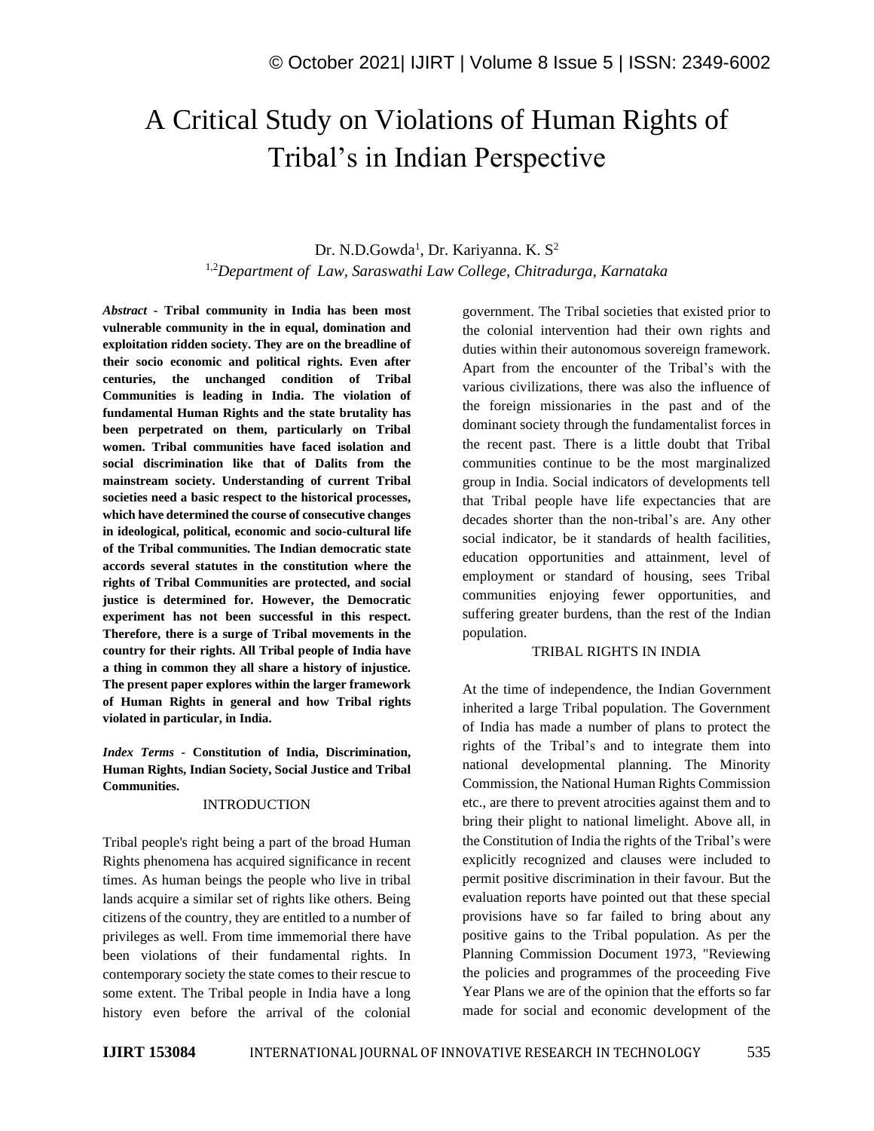# A Critical Study on Violations of Human Rights of Tribal's in Indian Perspective

# Dr. N.D.Gowda<sup>1</sup>, Dr. Kariyanna. K. S<sup>2</sup>

1,2*Department of Law, Saraswathi Law College, Chitradurga, Karnataka*

*Abstract -* **Tribal community in India has been most vulnerable community in the in equal, domination and exploitation ridden society. They are on the breadline of their socio economic and political rights. Even after centuries, the unchanged condition of Tribal Communities is leading in India. The violation of fundamental Human Rights and the state brutality has been perpetrated on them, particularly on Tribal women. Tribal communities have faced isolation and social discrimination like that of Dalits from the mainstream society. Understanding of current Tribal societies need a basic respect to the historical processes, which have determined the course of consecutive changes in ideological, political, economic and socio-cultural life of the Tribal communities. The Indian democratic state accords several statutes in the constitution where the rights of Tribal Communities are protected, and social justice is determined for. However, the Democratic experiment has not been successful in this respect. Therefore, there is a surge of Tribal movements in the country for their rights. All Tribal people of India have a thing in common they all share a history of injustice. The present paper explores within the larger framework of Human Rights in general and how Tribal rights violated in particular, in India.**

*Index Terms -* **Constitution of India, Discrimination, Human Rights, Indian Society, Social Justice and Tribal Communities.**

#### INTRODUCTION

Tribal people's right being a part of the broad Human Rights phenomena has acquired significance in recent times. As human beings the people who live in tribal lands acquire a similar set of rights like others. Being citizens of the country, they are entitled to a number of privileges as well. From time immemorial there have been violations of their fundamental rights. In contemporary society the state comes to their rescue to some extent. The Tribal people in India have a long history even before the arrival of the colonial government. The Tribal societies that existed prior to the colonial intervention had their own rights and duties within their autonomous sovereign framework. Apart from the encounter of the Tribal's with the various civilizations, there was also the influence of the foreign missionaries in the past and of the dominant society through the fundamentalist forces in the recent past. There is a little doubt that Tribal communities continue to be the most marginalized group in India. Social indicators of developments tell that Tribal people have life expectancies that are decades shorter than the non-tribal's are. Any other social indicator, be it standards of health facilities, education opportunities and attainment, level of employment or standard of housing, sees Tribal communities enjoying fewer opportunities, and suffering greater burdens, than the rest of the Indian population.

#### TRIBAL RIGHTS IN INDIA

At the time of independence, the Indian Government inherited a large Tribal population. The Government of India has made a number of plans to protect the rights of the Tribal's and to integrate them into national developmental planning. The Minority Commission, the National Human Rights Commission etc., are there to prevent atrocities against them and to bring their plight to national limelight. Above all, in the Constitution of India the rights of the Tribal's were explicitly recognized and clauses were included to permit positive discrimination in their favour. But the evaluation reports have pointed out that these special provisions have so far failed to bring about any positive gains to the Tribal population. As per the Planning Commission Document 1973, "Reviewing the policies and programmes of the proceeding Five Year Plans we are of the opinion that the efforts so far made for social and economic development of the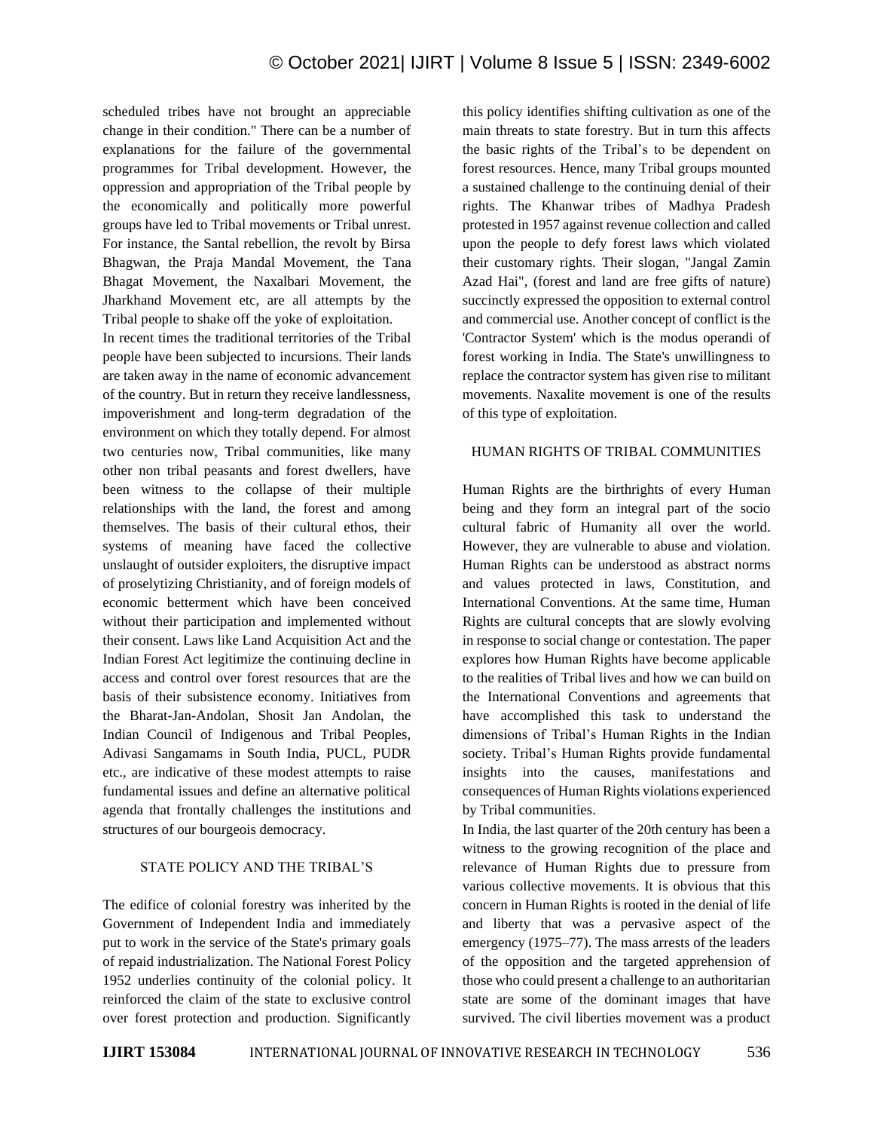scheduled tribes have not brought an appreciable change in their condition." There can be a number of explanations for the failure of the governmental programmes for Tribal development. However, the oppression and appropriation of the Tribal people by the economically and politically more powerful groups have led to Tribal movements or Tribal unrest. For instance, the Santal rebellion, the revolt by Birsa Bhagwan, the Praja Mandal Movement, the Tana Bhagat Movement, the Naxalbari Movement, the Jharkhand Movement etc, are all attempts by the Tribal people to shake off the yoke of exploitation.

In recent times the traditional territories of the Tribal people have been subjected to incursions. Their lands are taken away in the name of economic advancement of the country. But in return they receive landlessness, impoverishment and long-term degradation of the environment on which they totally depend. For almost two centuries now, Tribal communities, like many other non tribal peasants and forest dwellers, have been witness to the collapse of their multiple relationships with the land, the forest and among themselves. The basis of their cultural ethos, their systems of meaning have faced the collective unslaught of outsider exploiters, the disruptive impact of proselytizing Christianity, and of foreign models of economic betterment which have been conceived without their participation and implemented without their consent. Laws like Land Acquisition Act and the Indian Forest Act legitimize the continuing decline in access and control over forest resources that are the basis of their subsistence economy. Initiatives from the Bharat-Jan-Andolan, Shosit Jan Andolan, the Indian Council of Indigenous and Tribal Peoples, Adivasi Sangamams in South India, PUCL, PUDR etc., are indicative of these modest attempts to raise fundamental issues and define an alternative political agenda that frontally challenges the institutions and structures of our bourgeois democracy.

#### STATE POLICY AND THE TRIBAL'S

The edifice of colonial forestry was inherited by the Government of Independent India and immediately put to work in the service of the State's primary goals of repaid industrialization. The National Forest Policy 1952 underlies continuity of the colonial policy. It reinforced the claim of the state to exclusive control over forest protection and production. Significantly this policy identifies shifting cultivation as one of the main threats to state forestry. But in turn this affects the basic rights of the Tribal's to be dependent on forest resources. Hence, many Tribal groups mounted a sustained challenge to the continuing denial of their rights. The Khanwar tribes of Madhya Pradesh protested in 1957 against revenue collection and called upon the people to defy forest laws which violated their customary rights. Their slogan, "Jangal Zamin Azad Hai", (forest and land are free gifts of nature) succinctly expressed the opposition to external control and commercial use. Another concept of conflict is the 'Contractor System' which is the modus operandi of forest working in India. The State's unwillingness to replace the contractor system has given rise to militant movements. Naxalite movement is one of the results of this type of exploitation.

#### HUMAN RIGHTS OF TRIBAL COMMUNITIES

Human Rights are the birthrights of every Human being and they form an integral part of the socio cultural fabric of Humanity all over the world. However, they are vulnerable to abuse and violation. Human Rights can be understood as abstract norms and values protected in laws, Constitution, and International Conventions. At the same time, Human Rights are cultural concepts that are slowly evolving in response to social change or contestation. The paper explores how Human Rights have become applicable to the realities of Tribal lives and how we can build on the International Conventions and agreements that have accomplished this task to understand the dimensions of Tribal's Human Rights in the Indian society. Tribal's Human Rights provide fundamental insights into the causes, manifestations and consequences of Human Rights violations experienced by Tribal communities.

In India, the last quarter of the 20th century has been a witness to the growing recognition of the place and relevance of Human Rights due to pressure from various collective movements. It is obvious that this concern in Human Rights is rooted in the denial of life and liberty that was a pervasive aspect of the emergency (1975–77). The mass arrests of the leaders of the opposition and the targeted apprehension of those who could present a challenge to an authoritarian state are some of the dominant images that have survived. The civil liberties movement was a product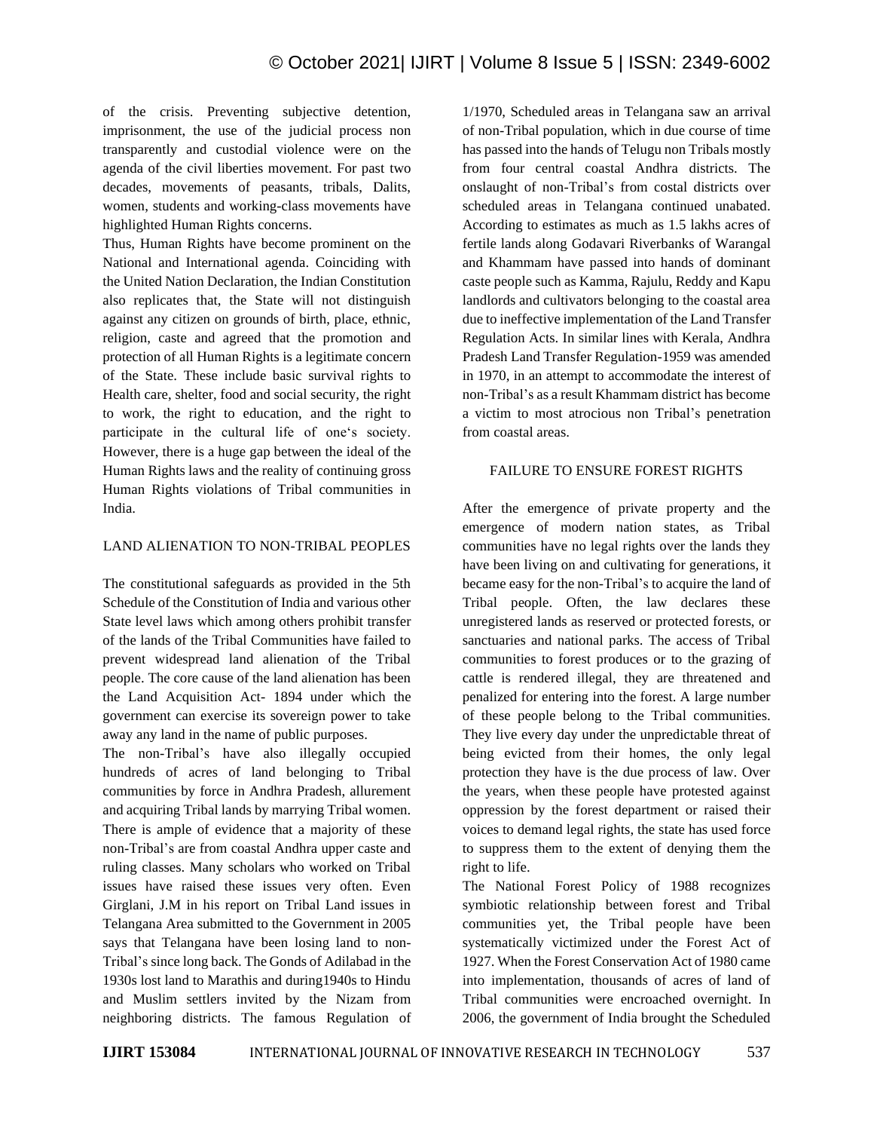of the crisis. Preventing subjective detention, imprisonment, the use of the judicial process non transparently and custodial violence were on the agenda of the civil liberties movement. For past two decades, movements of peasants, tribals, Dalits, women, students and working-class movements have highlighted Human Rights concerns.

Thus, Human Rights have become prominent on the National and International agenda. Coinciding with the United Nation Declaration, the Indian Constitution also replicates that, the State will not distinguish against any citizen on grounds of birth, place, ethnic, religion, caste and agreed that the promotion and protection of all Human Rights is a legitimate concern of the State. These include basic survival rights to Health care, shelter, food and social security, the right to work, the right to education, and the right to participate in the cultural life of one's society. However, there is a huge gap between the ideal of the Human Rights laws and the reality of continuing gross Human Rights violations of Tribal communities in India.

## LAND ALIENATION TO NON-TRIBAL PEOPLES

The constitutional safeguards as provided in the 5th Schedule of the Constitution of India and various other State level laws which among others prohibit transfer of the lands of the Tribal Communities have failed to prevent widespread land alienation of the Tribal people. The core cause of the land alienation has been the Land Acquisition Act- 1894 under which the government can exercise its sovereign power to take away any land in the name of public purposes.

The non-Tribal's have also illegally occupied hundreds of acres of land belonging to Tribal communities by force in Andhra Pradesh, allurement and acquiring Tribal lands by marrying Tribal women. There is ample of evidence that a majority of these non-Tribal's are from coastal Andhra upper caste and ruling classes. Many scholars who worked on Tribal issues have raised these issues very often. Even Girglani, J.M in his report on Tribal Land issues in Telangana Area submitted to the Government in 2005 says that Telangana have been losing land to non-Tribal's since long back. The Gonds of Adilabad in the 1930s lost land to Marathis and during1940s to Hindu and Muslim settlers invited by the Nizam from neighboring districts. The famous Regulation of 1/1970, Scheduled areas in Telangana saw an arrival of non-Tribal population, which in due course of time has passed into the hands of Telugu non Tribals mostly from four central coastal Andhra districts. The onslaught of non-Tribal's from costal districts over scheduled areas in Telangana continued unabated. According to estimates as much as 1.5 lakhs acres of fertile lands along Godavari Riverbanks of Warangal and Khammam have passed into hands of dominant caste people such as Kamma, Rajulu, Reddy and Kapu landlords and cultivators belonging to the coastal area due to ineffective implementation of the Land Transfer Regulation Acts. In similar lines with Kerala, Andhra Pradesh Land Transfer Regulation-1959 was amended in 1970, in an attempt to accommodate the interest of non-Tribal's as a result Khammam district has become a victim to most atrocious non Tribal's penetration from coastal areas.

#### FAILURE TO ENSURE FOREST RIGHTS

After the emergence of private property and the emergence of modern nation states, as Tribal communities have no legal rights over the lands they have been living on and cultivating for generations, it became easy for the non-Tribal's to acquire the land of Tribal people. Often, the law declares these unregistered lands as reserved or protected forests, or sanctuaries and national parks. The access of Tribal communities to forest produces or to the grazing of cattle is rendered illegal, they are threatened and penalized for entering into the forest. A large number of these people belong to the Tribal communities. They live every day under the unpredictable threat of being evicted from their homes, the only legal protection they have is the due process of law. Over the years, when these people have protested against oppression by the forest department or raised their voices to demand legal rights, the state has used force to suppress them to the extent of denying them the right to life.

The National Forest Policy of 1988 recognizes symbiotic relationship between forest and Tribal communities yet, the Tribal people have been systematically victimized under the Forest Act of 1927. When the Forest Conservation Act of 1980 came into implementation, thousands of acres of land of Tribal communities were encroached overnight. In 2006, the government of India brought the Scheduled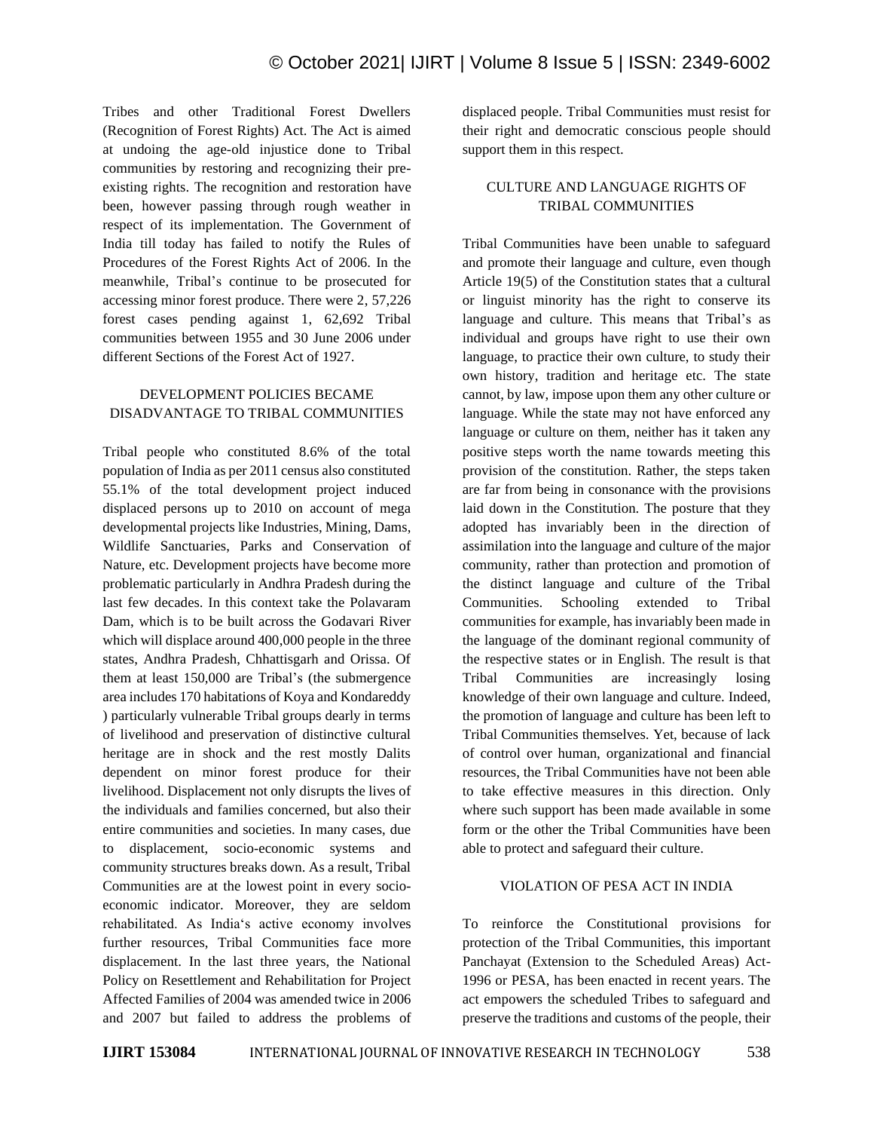Tribes and other Traditional Forest Dwellers (Recognition of Forest Rights) Act. The Act is aimed at undoing the age-old injustice done to Tribal communities by restoring and recognizing their preexisting rights. The recognition and restoration have been, however passing through rough weather in respect of its implementation. The Government of India till today has failed to notify the Rules of Procedures of the Forest Rights Act of 2006. In the meanwhile, Tribal's continue to be prosecuted for accessing minor forest produce. There were 2, 57,226 forest cases pending against 1, 62,692 Tribal communities between 1955 and 30 June 2006 under different Sections of the Forest Act of 1927.

# DEVELOPMENT POLICIES BECAME DISADVANTAGE TO TRIBAL COMMUNITIES

Tribal people who constituted 8.6% of the total population of India as per 2011 census also constituted 55.1% of the total development project induced displaced persons up to 2010 on account of mega developmental projects like Industries, Mining, Dams, Wildlife Sanctuaries, Parks and Conservation of Nature, etc. Development projects have become more problematic particularly in Andhra Pradesh during the last few decades. In this context take the Polavaram Dam, which is to be built across the Godavari River which will displace around 400,000 people in the three states, Andhra Pradesh, Chhattisgarh and Orissa. Of them at least 150,000 are Tribal's (the submergence area includes 170 habitations of Koya and Kondareddy ) particularly vulnerable Tribal groups dearly in terms of livelihood and preservation of distinctive cultural heritage are in shock and the rest mostly Dalits dependent on minor forest produce for their livelihood. Displacement not only disrupts the lives of the individuals and families concerned, but also their entire communities and societies. In many cases, due to displacement, socio-economic systems and community structures breaks down. As a result, Tribal Communities are at the lowest point in every socioeconomic indicator. Moreover, they are seldom rehabilitated. As India's active economy involves further resources, Tribal Communities face more displacement. In the last three years, the National Policy on Resettlement and Rehabilitation for Project Affected Families of 2004 was amended twice in 2006 and 2007 but failed to address the problems of displaced people. Tribal Communities must resist for their right and democratic conscious people should support them in this respect.

## CULTURE AND LANGUAGE RIGHTS OF TRIBAL COMMUNITIES

Tribal Communities have been unable to safeguard and promote their language and culture, even though Article 19(5) of the Constitution states that a cultural or linguist minority has the right to conserve its language and culture. This means that Tribal's as individual and groups have right to use their own language, to practice their own culture, to study their own history, tradition and heritage etc. The state cannot, by law, impose upon them any other culture or language. While the state may not have enforced any language or culture on them, neither has it taken any positive steps worth the name towards meeting this provision of the constitution. Rather, the steps taken are far from being in consonance with the provisions laid down in the Constitution. The posture that they adopted has invariably been in the direction of assimilation into the language and culture of the major community, rather than protection and promotion of the distinct language and culture of the Tribal Communities. Schooling extended to Tribal communities for example, has invariably been made in the language of the dominant regional community of the respective states or in English. The result is that Tribal Communities are increasingly losing knowledge of their own language and culture. Indeed, the promotion of language and culture has been left to Tribal Communities themselves. Yet, because of lack of control over human, organizational and financial resources, the Tribal Communities have not been able to take effective measures in this direction. Only where such support has been made available in some form or the other the Tribal Communities have been able to protect and safeguard their culture.

#### VIOLATION OF PESA ACT IN INDIA

To reinforce the Constitutional provisions for protection of the Tribal Communities, this important Panchayat (Extension to the Scheduled Areas) Act-1996 or PESA, has been enacted in recent years. The act empowers the scheduled Tribes to safeguard and preserve the traditions and customs of the people, their